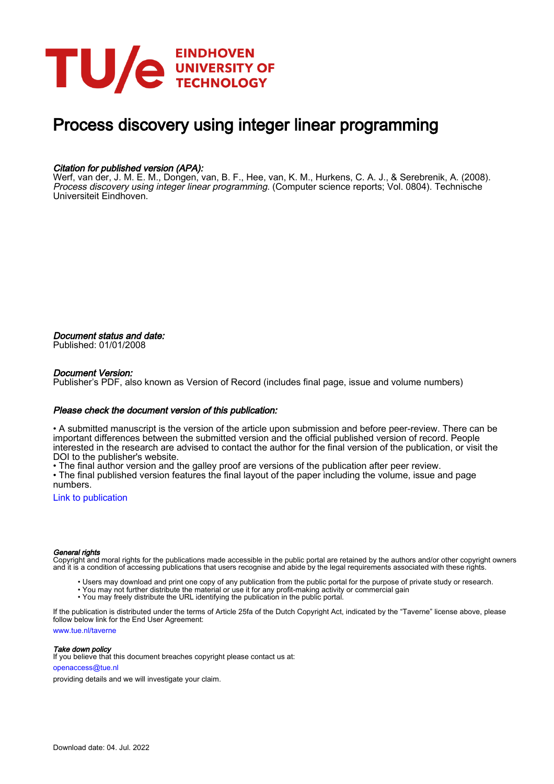

# Process discovery using integer linear programming

#### Citation for published version (APA):

Werf, van der, J. M. E. M., Dongen, van, B. F., Hee, van, K. M., Hurkens, C. A. J., & Serebrenik, A. (2008). Process discovery using integer linear programming. (Computer science reports; Vol. 0804). Technische Universiteit Eindhoven.

Document status and date: Published: 01/01/2008

#### Document Version:

Publisher's PDF, also known as Version of Record (includes final page, issue and volume numbers)

#### Please check the document version of this publication:

• A submitted manuscript is the version of the article upon submission and before peer-review. There can be important differences between the submitted version and the official published version of record. People interested in the research are advised to contact the author for the final version of the publication, or visit the DOI to the publisher's website.

• The final author version and the galley proof are versions of the publication after peer review.

• The final published version features the final layout of the paper including the volume, issue and page numbers.

[Link to publication](https://research.tue.nl/en/publications/86122de1-5a29-4117-b27e-0e07a197fbdb)

#### General rights

Copyright and moral rights for the publications made accessible in the public portal are retained by the authors and/or other copyright owners and it is a condition of accessing publications that users recognise and abide by the legal requirements associated with these rights.

- Users may download and print one copy of any publication from the public portal for the purpose of private study or research.
- You may not further distribute the material or use it for any profit-making activity or commercial gain
- You may freely distribute the URL identifying the publication in the public portal.

If the publication is distributed under the terms of Article 25fa of the Dutch Copyright Act, indicated by the "Taverne" license above, please follow below link for the End User Agreement:

www.tue.nl/taverne

**Take down policy**<br>If you believe that this document breaches copyright please contact us at:

openaccess@tue.nl

providing details and we will investigate your claim.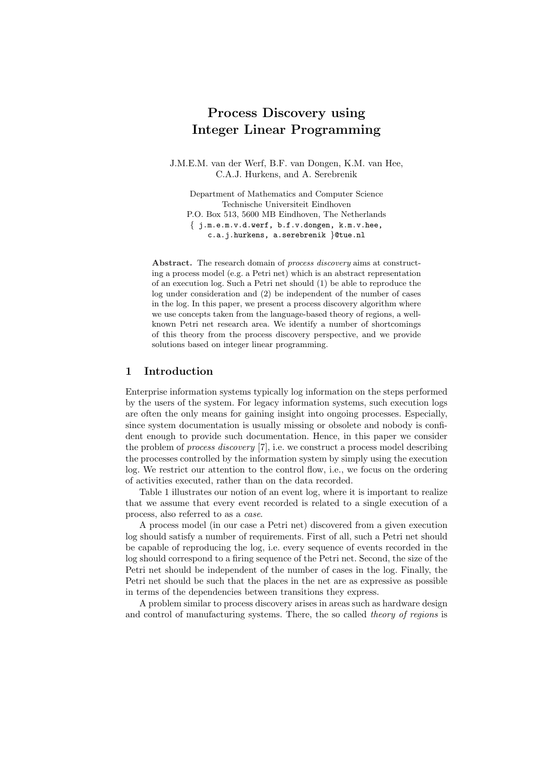## Process Discovery using Integer Linear Programming

J.M.E.M. van der Werf, B.F. van Dongen, K.M. van Hee, C.A.J. Hurkens, and A. Serebrenik

Department of Mathematics and Computer Science Technische Universiteit Eindhoven P.O. Box 513, 5600 MB Eindhoven, The Netherlands { j.m.e.m.v.d.werf, b.f.v.dongen, k.m.v.hee, c.a.j.hurkens, a.serebrenik }@tue.nl

Abstract. The research domain of *process discovery* aims at constructing a process model (e.g. a Petri net) which is an abstract representation of an execution log. Such a Petri net should (1) be able to reproduce the log under consideration and (2) be independent of the number of cases in the log. In this paper, we present a process discovery algorithm where we use concepts taken from the language-based theory of regions, a wellknown Petri net research area. We identify a number of shortcomings of this theory from the process discovery perspective, and we provide solutions based on integer linear programming.

#### 1 Introduction

Enterprise information systems typically log information on the steps performed by the users of the system. For legacy information systems, such execution logs are often the only means for gaining insight into ongoing processes. Especially, since system documentation is usually missing or obsolete and nobody is confident enough to provide such documentation. Hence, in this paper we consider the problem of process discovery [7], i.e. we construct a process model describing the processes controlled by the information system by simply using the execution log. We restrict our attention to the control flow, i.e., we focus on the ordering of activities executed, rather than on the data recorded.

Table 1 illustrates our notion of an event log, where it is important to realize that we assume that every event recorded is related to a single execution of a process, also referred to as a case.

A process model (in our case a Petri net) discovered from a given execution log should satisfy a number of requirements. First of all, such a Petri net should be capable of reproducing the log, i.e. every sequence of events recorded in the log should correspond to a firing sequence of the Petri net. Second, the size of the Petri net should be independent of the number of cases in the log. Finally, the Petri net should be such that the places in the net are as expressive as possible in terms of the dependencies between transitions they express.

A problem similar to process discovery arises in areas such as hardware design and control of manufacturing systems. There, the so called theory of regions is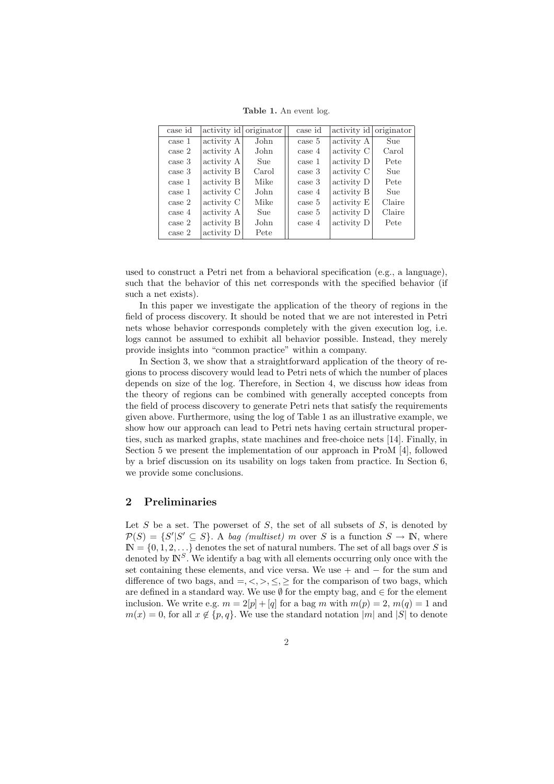Table 1. An event log.

| case id |            | activity id originator | case id | activity id | originator |
|---------|------------|------------------------|---------|-------------|------------|
| case 1  | activity A | John                   | case 5  | activity A  | Sue        |
| case 2  | activity A | John                   | case 4  | activity C  | Carol      |
| case 3  | activity A | Sue                    | case 1  | activity D  | Pete       |
| case 3  | activity B | Carol                  | case 3  | activity C  | Sue        |
| case 1  | activity B | Mike                   | case 3  | activity D  | Pete       |
| case 1  | activity C | John                   | case 4  | activity B  | Sue        |
| case 2  | activity C | Mike                   | case 5  | activity E  | Claire     |
| case 4  | activity A | Sue                    | case 5  | activity D  | Claire     |
| case 2  | activity B | John                   | case 4  | activity D  | Pete       |
| case 2  | activity D | Pete                   |         |             |            |

used to construct a Petri net from a behavioral specification (e.g., a language), such that the behavior of this net corresponds with the specified behavior (if such a net exists).

In this paper we investigate the application of the theory of regions in the field of process discovery. It should be noted that we are not interested in Petri nets whose behavior corresponds completely with the given execution log, i.e. logs cannot be assumed to exhibit all behavior possible. Instead, they merely provide insights into "common practice" within a company.

In Section 3, we show that a straightforward application of the theory of regions to process discovery would lead to Petri nets of which the number of places depends on size of the log. Therefore, in Section 4, we discuss how ideas from the theory of regions can be combined with generally accepted concepts from the field of process discovery to generate Petri nets that satisfy the requirements given above. Furthermore, using the log of Table 1 as an illustrative example, we show how our approach can lead to Petri nets having certain structural properties, such as marked graphs, state machines and free-choice nets [14]. Finally, in Section 5 we present the implementation of our approach in ProM [4], followed by a brief discussion on its usability on logs taken from practice. In Section 6, we provide some conclusions.

#### 2 Preliminaries

Let S be a set. The powerset of S, the set of all subsets of S, is denoted by  $\mathcal{P}(S) = \{S' | S' \subseteq S\}$ . A bag (multiset) m over S is a function  $S \to \mathbb{N}$ , where  $\mathbb{N} = \{0, 1, 2, \ldots\}$  denotes the set of natural numbers. The set of all bags over S is denoted by  $\mathbb{N}^S$ . We identify a bag with all elements occurring only once with the set containing these elements, and vice versa. We use + and − for the sum and difference of two bags, and  $=, \leq, \geq, \leq \leq$  for the comparison of two bags, which are defined in a standard way. We use  $\emptyset$  for the empty bag, and  $\in$  for the element inclusion. We write e.g.  $m = 2[p] + [q]$  for a bag m with  $m(p) = 2$ ,  $m(q) = 1$  and  $m(x) = 0$ , for all  $x \notin \{p, q\}$ . We use the standard notation |m| and |S| to denote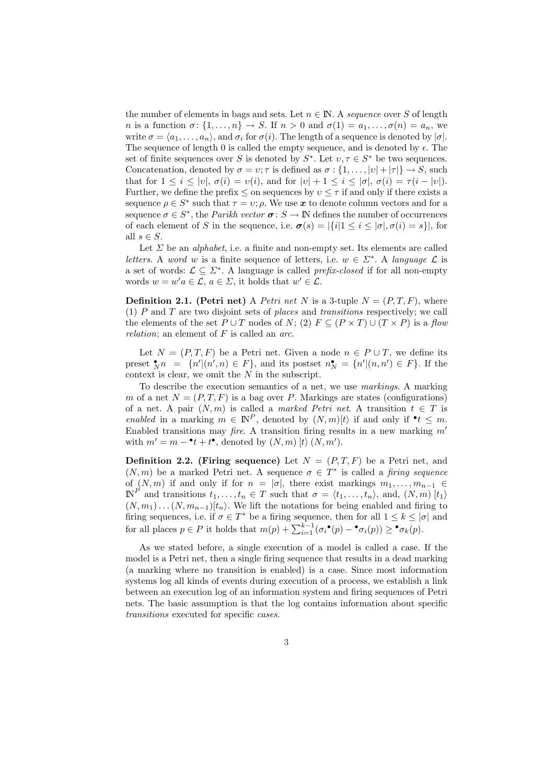the number of elements in bags and sets. Let  $n \in \mathbb{N}$ . A sequence over S of length *n* is a function  $\sigma: \{1, \ldots, n\} \to S$ . If  $n > 0$  and  $\sigma(1) = a_1, \ldots, \sigma(n) = a_n$ , we write  $\sigma = \langle a_1, \ldots, a_n \rangle$ , and  $\sigma_i$  for  $\sigma(i)$ . The length of a sequence is denoted by  $|\sigma|$ . The sequence of length 0 is called the empty sequence, and is denoted by  $\epsilon$ . The set of finite sequences over S is denoted by  $S^*$ . Let  $v, \tau \in S^*$  be two sequences. Concatenation, denoted by  $\sigma = v; \tau$  is defined as  $\sigma : \{1, \ldots, |v| + |\tau|\} \to S$ , such that for  $1 \leq i \leq |v|, \sigma(i) = v(i)$ , and for  $|v| + 1 \leq i \leq |\sigma|, \sigma(i) = \tau(i - |v|)$ . Further, we define the prefix  $\leq$  on sequences by  $v \leq \tau$  if and only if there exists a sequence  $\rho \in S^*$  such that  $\tau = \nu$ ;  $\rho$ . We use x to denote column vectors and for a sequence  $\sigma \in S^*$ , the *Parikh vector*  $\sigma: S \to \mathbb{N}$  defines the number of occurrences of each element of S in the sequence, i.e.  $\sigma(s) = |\{i| \le i \le |\sigma|, \sigma(i) = s\}|$ , for all  $s \in S$ .

Let  $\Sigma$  be an *alphabet*, i.e. a finite and non-empty set. Its elements are called letters. A word w is a finite sequence of letters, i.e.  $w \in \Sigma^*$ . A language  $\mathcal L$  is a set of words:  $\mathcal{L} \subseteq \mathbb{Z}^*$ . A language is called *prefix-closed* if for all non-empty words  $w = w'a \in \mathcal{L}, a \in \Sigma$ , it holds that  $w' \in \mathcal{L}$ .

**Definition 2.1.** (Petri net) A *Petri net N* is a 3-tuple  $N = (P, T, F)$ , where (1)  $P$  and  $T$  are two disjoint sets of *places* and *transitions* respectively; we call the elements of the set  $P \cup T$  nodes of N; (2)  $F \subseteq (P \times T) \cup (T \times P)$  is a flow *relation*; an element of  $F$  is called an *arc*.

Let  $N = (P, T, F)$  be a Petri net. Given a node  $n \in P \cup T$ , we define its preset  $\mathbf{v}_n = \{n' | (n', n) \in F\}$ , and its postset  $n_N^{\bullet} = \{n' | (n, n') \in F\}$ . If the context is clear, we omit the  $N$  in the subscript.

To describe the execution semantics of a net, we use markings. A marking m of a net  $N = (P, T, F)$  is a bag over P. Markings are states (configurations) of a net. A pair  $(N, m)$  is called a marked Petri net. A transition  $t \in T$  is enabled in a marking  $m \in \mathbb{N}^P$ , denoted by  $(N,m)[t]$  if and only if  $\cdot t \leq m$ . Enabled transitions may fire. A transition firing results in a new marking  $m'$ with  $m' = m - \cdot t + t^{\bullet}$ , denoted by  $(N, m)$  [t]  $(N, m')$ .

**Definition 2.2.** (Firing sequence) Let  $N = (P, T, F)$  be a Petri net, and  $(N, m)$  be a marked Petri net. A sequence  $\sigma \in T^*$  is called a *firing sequence* of  $(N, m)$  if and only if for  $n = |\sigma|$ , there exist markings  $m_1, \ldots, m_{n-1} \in$  $\mathbb{N}^P$  and transitions  $t_1, \ldots, t_n \in T$  such that  $\sigma = \langle t_1, \ldots, t_n \rangle$ , and,  $(N, m)$   $[t_1\rangle$  $(N, m_1) \dots (N, m_{n-1})[t_n]$ . We lift the notations for being enabled and firing to firing sequences, i.e. if  $\sigma \in T^*$  be a firing sequence, then for all  $1 \leq k \leq |\sigma|$  and for all places  $p \in P$  it holds that  $m(p) + \sum_{i=1}^{k-1} (\sigma_i^*(p) - \sigma_i(p)) \geq \sigma_k(p)$ .

As we stated before, a single execution of a model is called a case. If the model is a Petri net, then a single firing sequence that results in a dead marking (a marking where no transition is enabled) is a case. Since most information systems log all kinds of events during execution of a process, we establish a link between an execution log of an information system and firing sequences of Petri nets. The basic assumption is that the log contains information about specific transitions executed for specific cases.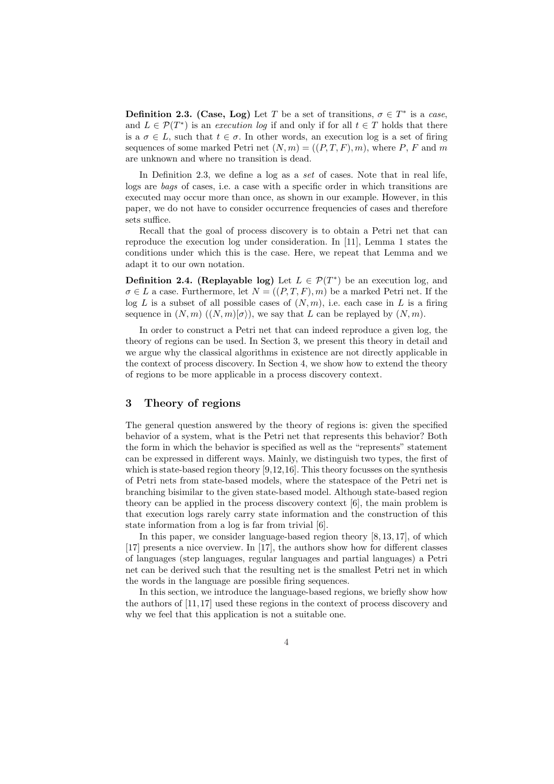**Definition 2.3.** (Case, Log) Let T be a set of transitions,  $\sigma \in T^*$  is a case, and  $L \in \mathcal{P}(T^*)$  is an execution log if and only if for all  $t \in T$  holds that there is a  $\sigma \in L$ , such that  $t \in \sigma$ . In other words, an execution log is a set of firing sequences of some marked Petri net  $(N, m) = ((P, T, F), m)$ , where P, F and m are unknown and where no transition is dead.

In Definition 2.3, we define a log as a set of cases. Note that in real life, logs are bags of cases, i.e. a case with a specific order in which transitions are executed may occur more than once, as shown in our example. However, in this paper, we do not have to consider occurrence frequencies of cases and therefore sets suffice.

Recall that the goal of process discovery is to obtain a Petri net that can reproduce the execution log under consideration. In [11], Lemma 1 states the conditions under which this is the case. Here, we repeat that Lemma and we adapt it to our own notation.

**Definition 2.4.** (Replayable log) Let  $L \in \mathcal{P}(T^*)$  be an execution log, and  $\sigma \in L$  a case. Furthermore, let  $N = ((P, T, F), m)$  be a marked Petri net. If the log L is a subset of all possible cases of  $(N, m)$ , i.e. each case in L is a firing sequence in  $(N, m)$   $((N, m)|\sigma\rangle)$ , we say that L can be replayed by  $(N, m)$ .

In order to construct a Petri net that can indeed reproduce a given log, the theory of regions can be used. In Section 3, we present this theory in detail and we argue why the classical algorithms in existence are not directly applicable in the context of process discovery. In Section 4, we show how to extend the theory of regions to be more applicable in a process discovery context.

### 3 Theory of regions

The general question answered by the theory of regions is: given the specified behavior of a system, what is the Petri net that represents this behavior? Both the form in which the behavior is specified as well as the "represents" statement can be expressed in different ways. Mainly, we distinguish two types, the first of which is state-based region theory [9,12,16]. This theory focusses on the synthesis of Petri nets from state-based models, where the statespace of the Petri net is branching bisimilar to the given state-based model. Although state-based region theory can be applied in the process discovery context [6], the main problem is that execution logs rarely carry state information and the construction of this state information from a log is far from trivial [6].

In this paper, we consider language-based region theory [8, 13, 17], of which [17] presents a nice overview. In [17], the authors show how for different classes of languages (step languages, regular languages and partial languages) a Petri net can be derived such that the resulting net is the smallest Petri net in which the words in the language are possible firing sequences.

In this section, we introduce the language-based regions, we briefly show how the authors of [11, 17] used these regions in the context of process discovery and why we feel that this application is not a suitable one.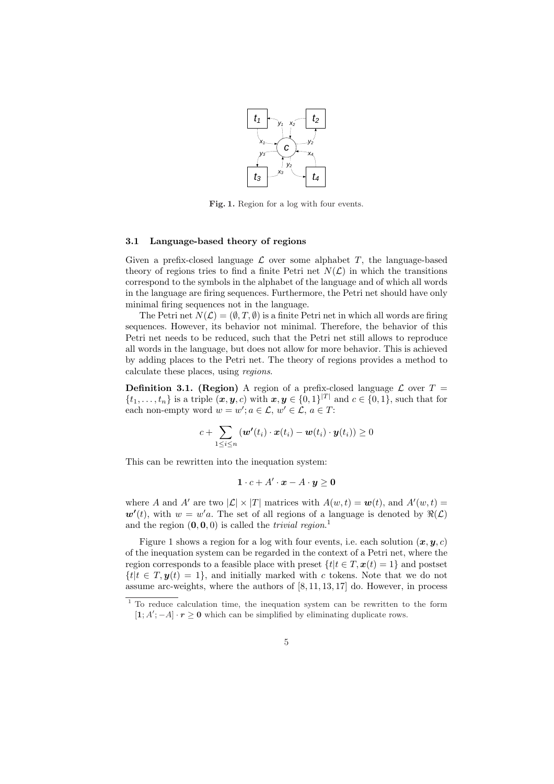

Fig. 1. Region for a log with four events.

#### 3.1 Language-based theory of regions

Given a prefix-closed language  $\mathcal L$  over some alphabet  $T$ , the language-based theory of regions tries to find a finite Petri net  $N(\mathcal{L})$  in which the transitions correspond to the symbols in the alphabet of the language and of which all words in the language are firing sequences. Furthermore, the Petri net should have only minimal firing sequences not in the language.

The Petri net  $N(\mathcal{L}) = (\emptyset, T, \emptyset)$  is a finite Petri net in which all words are firing sequences. However, its behavior not minimal. Therefore, the behavior of this Petri net needs to be reduced, such that the Petri net still allows to reproduce all words in the language, but does not allow for more behavior. This is achieved by adding places to the Petri net. The theory of regions provides a method to calculate these places, using regions.

**Definition 3.1.** (Region) A region of a prefix-closed language  $\mathcal{L}$  over  $T =$  $\{t_1,\ldots,t_n\}$  is a triple  $(\boldsymbol{x},\boldsymbol{y},c)$  with  $\boldsymbol{x},\boldsymbol{y}\in\{0,1\}^{|\boldsymbol{T}|}$  and  $c\in\{0,1\}$ , such that for each non-empty word  $w = w'$ ;  $a \in \mathcal{L}$ ,  $w' \in \mathcal{L}$ ,  $a \in T$ :

$$
c+\sum_{1\leq i\leq n} (\boldsymbol{w'}(t_i)\cdot \boldsymbol{x}(t_i)-\boldsymbol{w}(t_i)\cdot \boldsymbol{y}(t_i))\geq 0
$$

This can be rewritten into the inequation system:

$$
1 \cdot c + A' \cdot x - A \cdot y \ge 0
$$

where A and A' are two  $|\mathcal{L}| \times |T|$  matrices with  $A(w, t) = \boldsymbol{w}(t)$ , and  $A'(w, t) =$  $w'(t)$ , with  $w = w'a$ . The set of all regions of a language is denoted by  $\Re(\mathcal{L})$ and the region  $(0,0,0)$  is called the *trivial region*.<sup>1</sup>

Figure 1 shows a region for a log with four events, i.e. each solution  $(x, y, c)$ of the inequation system can be regarded in the context of a Petri net, where the region corresponds to a feasible place with preset  $\{t | t \in T, \mathbf{x}(t) = 1\}$  and postset  ${t | t \in T, y(t) = 1}$ , and initially marked with c tokens. Note that we do not assume arc-weights, where the authors of [8, 11, 13, 17] do. However, in process

<sup>&</sup>lt;sup>1</sup> To reduce calculation time, the inequation system can be rewritten to the form  $[1; A'; -A] \cdot r \geq 0$  which can be simplified by eliminating duplicate rows.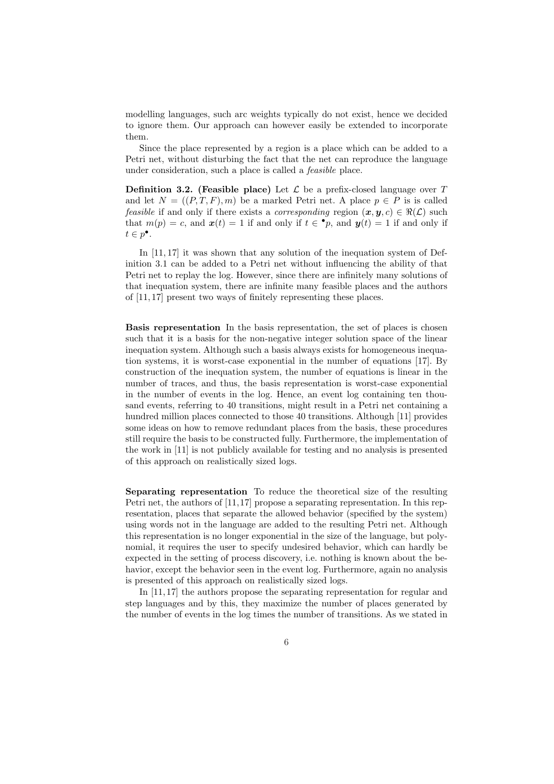modelling languages, such arc weights typically do not exist, hence we decided to ignore them. Our approach can however easily be extended to incorporate them.

Since the place represented by a region is a place which can be added to a Petri net, without disturbing the fact that the net can reproduce the language under consideration, such a place is called a feasible place.

**Definition 3.2.** (Feasible place) Let  $\mathcal{L}$  be a prefix-closed language over T and let  $N = ((P, T, F), m)$  be a marked Petri net. A place  $p \in P$  is is called *feasible* if and only if there exists a *corresponding* region  $(x, y, c) \in \Re(\mathcal{L})$  such that  $m(p) = c$ , and  $x(t) = 1$  if and only if  $t \in \bullet p$ , and  $y(t) = 1$  if and only if  $t \in p^{\bullet}$ .

In [11, 17] it was shown that any solution of the inequation system of Definition 3.1 can be added to a Petri net without influencing the ability of that Petri net to replay the log. However, since there are infinitely many solutions of that inequation system, there are infinite many feasible places and the authors of [11, 17] present two ways of finitely representing these places.

Basis representation In the basis representation, the set of places is chosen such that it is a basis for the non-negative integer solution space of the linear inequation system. Although such a basis always exists for homogeneous inequation systems, it is worst-case exponential in the number of equations [17]. By construction of the inequation system, the number of equations is linear in the number of traces, and thus, the basis representation is worst-case exponential in the number of events in the log. Hence, an event log containing ten thousand events, referring to 40 transitions, might result in a Petri net containing a hundred million places connected to those 40 transitions. Although [11] provides some ideas on how to remove redundant places from the basis, these procedures still require the basis to be constructed fully. Furthermore, the implementation of the work in [11] is not publicly available for testing and no analysis is presented of this approach on realistically sized logs.

Separating representation To reduce the theoretical size of the resulting Petri net, the authors of [11,17] propose a separating representation. In this representation, places that separate the allowed behavior (specified by the system) using words not in the language are added to the resulting Petri net. Although this representation is no longer exponential in the size of the language, but polynomial, it requires the user to specify undesired behavior, which can hardly be expected in the setting of process discovery, i.e. nothing is known about the behavior, except the behavior seen in the event log. Furthermore, again no analysis is presented of this approach on realistically sized logs.

In [11, 17] the authors propose the separating representation for regular and step languages and by this, they maximize the number of places generated by the number of events in the log times the number of transitions. As we stated in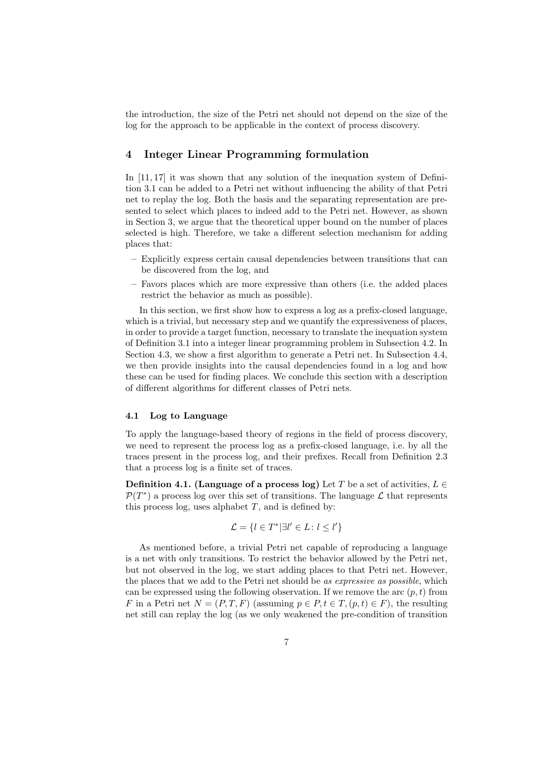the introduction, the size of the Petri net should not depend on the size of the log for the approach to be applicable in the context of process discovery.

#### 4 Integer Linear Programming formulation

In [11, 17] it was shown that any solution of the inequation system of Definition 3.1 can be added to a Petri net without influencing the ability of that Petri net to replay the log. Both the basis and the separating representation are presented to select which places to indeed add to the Petri net. However, as shown in Section 3, we argue that the theoretical upper bound on the number of places selected is high. Therefore, we take a different selection mechanism for adding places that:

- Explicitly express certain causal dependencies between transitions that can be discovered from the log, and
- Favors places which are more expressive than others (i.e. the added places restrict the behavior as much as possible).

In this section, we first show how to express a log as a prefix-closed language, which is a trivial, but necessary step and we quantify the expressiveness of places, in order to provide a target function, necessary to translate the inequation system of Definition 3.1 into a integer linear programming problem in Subsection 4.2. In Section 4.3, we show a first algorithm to generate a Petri net. In Subsection 4.4, we then provide insights into the causal dependencies found in a log and how these can be used for finding places. We conclude this section with a description of different algorithms for different classes of Petri nets.

#### 4.1 Log to Language

To apply the language-based theory of regions in the field of process discovery, we need to represent the process log as a prefix-closed language, i.e. by all the traces present in the process log, and their prefixes. Recall from Definition 2.3 that a process log is a finite set of traces.

Definition 4.1. (Language of a process log) Let T be a set of activities,  $L \in$  $\mathcal{P}(T^*)$  a process log over this set of transitions. The language  $\mathcal{L}$  that represents this process log, uses alphabet  $T$ , and is defined by:

$$
\mathcal{L} = \{ l \in T^* | \exists l' \in L : l \le l' \}
$$

As mentioned before, a trivial Petri net capable of reproducing a language is a net with only transitions. To restrict the behavior allowed by the Petri net, but not observed in the log, we start adding places to that Petri net. However, the places that we add to the Petri net should be as expressive as possible, which can be expressed using the following observation. If we remove the arc  $(p, t)$  from F in a Petri net  $N = (P, T, F)$  (assuming  $p \in P$ ,  $t \in T$ ,  $(p, t) \in F$ ), the resulting net still can replay the log (as we only weakened the pre-condition of transition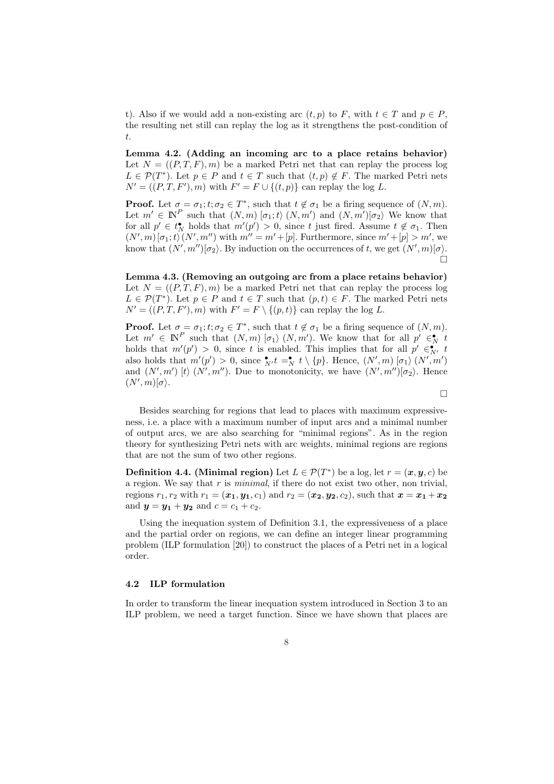t). Also if we would add a non-existing arc  $(t, p)$  to F, with  $t \in T$  and  $p \in P$ , the resulting net still can replay the log as it strengthens the post-condition of t.

Lemma 4.2. (Adding an incoming arc to a place retains behavior) Let  $N = ((P, T, F), m)$  be a marked Petri net that can replay the process log  $L \in \mathcal{P}(T^*)$ . Let  $p \in P$  and  $t \in T$  such that  $(t, p) \notin F$ . The marked Petri nets  $N' = ((P, T, F'), m)$  with  $F' = F \cup \{(t, p)\}\)$  can replay the log L.

**Proof.** Let  $\sigma = \sigma_1$ ;  $t; \sigma_2 \in T^*$ , such that  $t \notin \sigma_1$  be a firing sequence of  $(N, m)$ . Let  $m' \in \mathbb{N}^P$  such that  $(N, m)$   $\lbrack \sigma_1; t \rangle$   $(N, m')$  and  $(N, m')$  $\lbrack \sigma_2 \rangle$  We know that for all  $p' \in t^{\bullet}_{N}$  holds that  $m'(p') > 0$ , since t just fired. Assume  $t \notin \sigma_1$ . Then  $(N', m) [\sigma_1; t] (N', m'')$  with  $m'' = m' + [p]$ . Furthermore, since  $m' + [p] > m'$ , we know that  $(N', m'')[\sigma_2]$ . By induction on the occurrences of t, we get  $(N', m)[\sigma)$ .  $\Box$ 

Lemma 4.3. (Removing an outgoing arc from a place retains behavior) Let  $N = ((P, T, F), m)$  be a marked Petri net that can replay the process log  $L \in \mathcal{P}(T^*)$ . Let  $p \in P$  and  $t \in T$  such that  $(p, t) \in F$ . The marked Petri nets  $N' = ((P, T, F'), m)$  with  $F' = F \setminus \{(p, t)\}\)$  can replay the log L.

**Proof.** Let  $\sigma = \sigma_1$ ;  $t; \sigma_2 \in T^*$ , such that  $t \notin \sigma_1$  be a firing sequence of  $(N, m)$ . Let  $m' \in \mathbb{N}^P$  such that  $(N,m) [\sigma_1, (N,m')$ . We know that for all  $p' \in_N^{\bullet}$  t holds that  $m'(p') > 0$ , since t is enabled. This implies that for all  $p' \in N'$  t also holds that  $m'(p') > 0$ , since  $\mathbf{v}_N$ ,  $t = \mathbf{v}_N$   $t \setminus \{p\}$ . Hence,  $(N', m)$   $[\sigma_1, \gamma', m']$ and  $(N', m')$  [t]  $(N', m'')$ . Due to monotonicity, we have  $(N', m'')[\sigma_2]$ . Hence  $(N', m)[\sigma\rangle$ .

 $\Box$ 

Besides searching for regions that lead to places with maximum expressiveness, i.e. a place with a maximum number of input arcs and a minimal number of output arcs, we are also searching for "minimal regions". As in the region theory for synthesizing Petri nets with arc weights, minimal regions are regions that are not the sum of two other regions.

**Definition 4.4.** (Minimal region) Let  $L \in \mathcal{P}(T^*)$  be a log, let  $r = (\mathbf{x}, \mathbf{y}, c)$  be a region. We say that  $r$  is *minimal*, if there do not exist two other, non trivial, regions  $r_1, r_2$  with  $r_1 = (\mathbf{x_1}, \mathbf{y_1}, c_1)$  and  $r_2 = (\mathbf{x_2}, \mathbf{y_2}, c_2)$ , such that  $\mathbf{x} = \mathbf{x_1} + \mathbf{x_2}$ and  $y = y_1 + y_2$  and  $c = c_1 + c_2$ .

Using the inequation system of Definition 3.1, the expressiveness of a place and the partial order on regions, we can define an integer linear programming problem (ILP formulation [20]) to construct the places of a Petri net in a logical order.

#### 4.2 ILP formulation

In order to transform the linear inequation system introduced in Section 3 to an ILP problem, we need a target function. Since we have shown that places are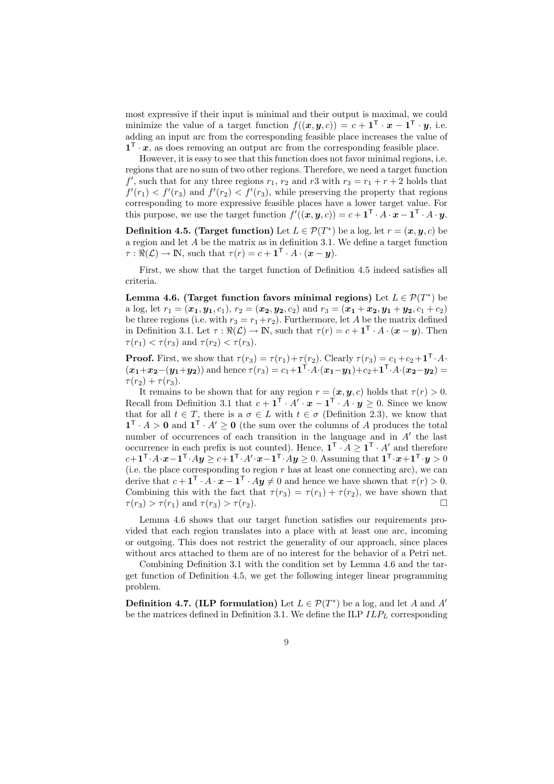most expressive if their input is minimal and their output is maximal, we could minimize the value of a target function  $f((x, y, c)) = c + \mathbf{1}^{\mathsf{T}} \cdot x - \mathbf{1}^{\mathsf{T}} \cdot y$ , i.e. adding an input arc from the corresponding feasible place increases the value of  $\mathbf{1}^{\mathsf{T}} \cdot x$ , as does removing an output arc from the corresponding feasible place.

However, it is easy to see that this function does not favor minimal regions, i.e. regions that are no sum of two other regions. Therefore, we need a target function  $f'$ , such that for any three regions  $r_1$ ,  $r_2$  and  $r_3$  with  $r_3 = r_1 + r + 2$  holds that  $f'(r_1) < f'(r_3)$  and  $f'(r_2) < f'(r_3)$ , while preserving the property that regions corresponding to more expressive feasible places have a lower target value. For this purpose, we use the target function  $f'((x, y, c)) = c + \mathbf{1}^{\mathsf{T}} \cdot A \cdot x - \mathbf{1}^{\mathsf{T}} \cdot A \cdot y$ .

**Definition 4.5. (Target function)** Let  $L \in \mathcal{P}(T^*)$  be a log, let  $r = (\mathbf{x}, \mathbf{y}, c)$  be a region and let A be the matrix as in definition 3.1. We define a target function  $\tau : \Re(\mathcal{L}) \to \mathbb{N}$ , such that  $\tau(r) = c + \mathbf{1}^{\mathsf{T}} \cdot A \cdot (\mathbf{x} - \mathbf{y}).$ 

First, we show that the target function of Definition 4.5 indeed satisfies all criteria.

Lemma 4.6. (Target function favors minimal regions) Let  $L \in \mathcal{P}(T^*)$  be a log, let  $r_1 = (\mathbf{x_1}, \mathbf{y_1}, c_1)$ ,  $r_2 = (\mathbf{x_2}, \mathbf{y_2}, c_2)$  and  $r_3 = (\mathbf{x_1} + \mathbf{x_2}, \mathbf{y_1} + \mathbf{y_2}, c_1 + c_2)$ be three regions (i.e. with  $r_3 = r_1+r_2$ ). Furthermore, let A be the matrix defined in Definition 3.1. Let  $\tau : \Re(\mathcal{L}) \to \mathbb{N}$ , such that  $\tau(r) = c + \mathbf{1}^{\mathsf{T}} \cdot A \cdot (\mathbf{x} - \mathbf{y})$ . Then  $\tau(r_1) < \tau(r_3)$  and  $\tau(r_2) < \tau(r_3)$ .

**Proof.** First, we show that  $\tau(r_3) = \tau(r_1) + \tau(r_2)$ . Clearly  $\tau(r_3) = c_1 + c_2 + \mathbf{1}^\mathsf{T} \cdot A$ .  $(x_1+x_2-(y_1+y_2))$  and hence  $\tau(r_3)=c_1+1^{\mathsf{T}}\cdot A\cdot(x_1-y_1)+c_2+1^{\mathsf{T}}\cdot A\cdot(x_2-y_2)=$  $\tau(r_2) + \tau(r_3)$ .

It remains to be shown that for any region  $r = (\boldsymbol{x}, \boldsymbol{y}, c)$  holds that  $\tau(r) > 0$ . Recall from Definition 3.1 that  $c + \mathbf{1}^{\mathsf{T}} \cdot A' \cdot x - \mathbf{1}^{\mathsf{T}} \cdot A \cdot y \geq 0$ . Since we know that for all  $t \in T$ , there is a  $\sigma \in L$  with  $t \in \sigma$  (Definition 2.3), we know that  $\mathbf{1}^{\mathsf{T}} \cdot A > \mathbf{0}$  and  $\mathbf{1}^{\mathsf{T}} \cdot A' \geq \mathbf{0}$  (the sum over the columns of A produces the total number of occurrences of each transition in the language and in  $A'$  the last occurrence in each prefix is not counted). Hence,  $\mathbf{1}^{\mathsf{T}} \cdot A \geq \mathbf{1}^{\mathsf{T}} \cdot A'$  and therefore  $c+\textbf{1}^\textsf{T}\cdot A\!\cdot\! \bm{x} - \textbf{1}^\textsf{T}\!\cdot\! A\bm{y} \geq c+\textbf{1}^\textsf{T}\!\cdot\! A'\!\cdot\! \bm{x} - \textbf{1}^\textsf{T}\!\cdot\! A\bm{y} \geq 0.$  Assuming that  $\textbf{1}^\textsf{T}\!\cdot\! \bm{x}\!+\! \textbf{1}^\textsf{T}\!\cdot\! \bm{y}>0$ (i.e. the place corresponding to region r has at least one connecting arc), we can derive that  $c + \mathbf{1}^{\mathsf{T}} \cdot A \cdot \mathbf{x} - \mathbf{1}^{\mathsf{T}} \cdot A \mathbf{y} \neq 0$  and hence we have shown that  $\tau(r) > 0$ . Combining this with the fact that  $\tau(r_3) = \tau(r_1) + \tau(r_2)$ , we have shown that  $\tau(r_3) > \tau(r_1)$  and  $\tau(r_3) > \tau(r_2)$ .

Lemma 4.6 shows that our target function satisfies our requirements provided that each region translates into a place with at least one arc, incoming or outgoing. This does not restrict the generality of our approach, since places without arcs attached to them are of no interest for the behavior of a Petri net.

Combining Definition 3.1 with the condition set by Lemma 4.6 and the target function of Definition 4.5, we get the following integer linear programming problem.

**Definition 4.7. (ILP formulation)** Let  $L \in \mathcal{P}(T^*)$  be a log, and let A and A' be the matrices defined in Definition 3.1. We define the ILP  $ILP<sub>L</sub>$  corresponding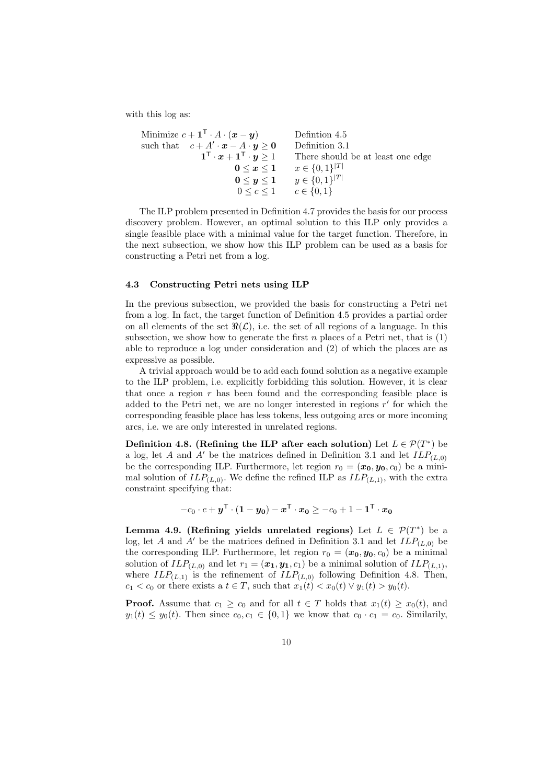with this log as:

Minimize  $c + \mathbf{1}^{\mathsf{T}} \cdot A \cdot (\mathbf{x} - \mathbf{y})$  Defintion 4.5 such that  $c + A' \cdot x - A \cdot y \ge 0$  Definition 3.1  $\boldsymbol{1}^\mathsf{T}\cdot x + 1$ There should be at least one edge  $0 \le x \le 1$   $x \in \{0,1\}$  $x \in \{0,1\}^{|T|}$  $0 \le y \le 1$   $y \in \{0,1\}$  $y \in \{0,1\}^{|T|}$  $0 \leq c \leq 1$   $c \in \{0, 1\}$ 

The ILP problem presented in Definition 4.7 provides the basis for our process discovery problem. However, an optimal solution to this ILP only provides a single feasible place with a minimal value for the target function. Therefore, in the next subsection, we show how this ILP problem can be used as a basis for constructing a Petri net from a log.

#### 4.3 Constructing Petri nets using ILP

In the previous subsection, we provided the basis for constructing a Petri net from a log. In fact, the target function of Definition 4.5 provides a partial order on all elements of the set  $\Re(\mathcal{L})$ , i.e. the set of all regions of a language. In this subsection, we show how to generate the first  $n$  places of a Petri net, that is  $(1)$ able to reproduce a log under consideration and (2) of which the places are as expressive as possible.

A trivial approach would be to add each found solution as a negative example to the ILP problem, i.e. explicitly forbidding this solution. However, it is clear that once a region  $r$  has been found and the corresponding feasible place is added to the Petri net, we are no longer interested in regions  $r'$  for which the corresponding feasible place has less tokens, less outgoing arcs or more incoming arcs, i.e. we are only interested in unrelated regions.

Definition 4.8. (Refining the ILP after each solution) Let  $L \in \mathcal{P}(T^*)$  be a log, let A and A' be the matrices defined in Definition 3.1 and let  $ILP_{(L,0)}$ be the corresponding ILP. Furthermore, let region  $r_0 = (\mathbf{x_0}, \mathbf{y_0}, c_0)$  be a minimal solution of  $ILP_{(L,0)}$ . We define the refined ILP as  $ILP_{(L,1)}$ , with the extra constraint specifying that:

$$
-c_0 \cdot c + \bm{y}^{\mathsf{T}} \cdot (\bm{1}-\bm{y_0}) - \bm{x}^{\mathsf{T}} \cdot \bm{x_0} \geq -c_0 + 1 - \bm{1}^{\mathsf{T}} \cdot \bm{x_0}
$$

Lemma 4.9. (Refining yields unrelated regions) Let  $L \in \mathcal{P}(T^*)$  be a log, let A and A' be the matrices defined in Definition 3.1 and let  $ILP_{(L,0)}$  be the corresponding ILP. Furthermore, let region  $r_0 = (\mathbf{x_0}, \mathbf{y_0}, c_0)$  be a minimal solution of  $ILP_{(L,0)}$  and let  $r_1 = (\boldsymbol{x_1}, \boldsymbol{y_1}, c_1)$  be a minimal solution of  $ILP_{(L,1)}$ , where  $ILP_{(L,1)}$  is the refinement of  $ILP_{(L,0)}$  following Definition 4.8. Then,  $c_1 < c_0$  or there exists a  $t \in T$ , such that  $x_1(t) < x_0(t) \vee y_1(t) > y_0(t)$ .

**Proof.** Assume that  $c_1 \geq c_0$  and for all  $t \in T$  holds that  $x_1(t) \geq x_0(t)$ , and  $y_1(t) \leq y_0(t)$ . Then since  $c_0, c_1 \in \{0, 1\}$  we know that  $c_0 \cdot c_1 = c_0$ . Similarily,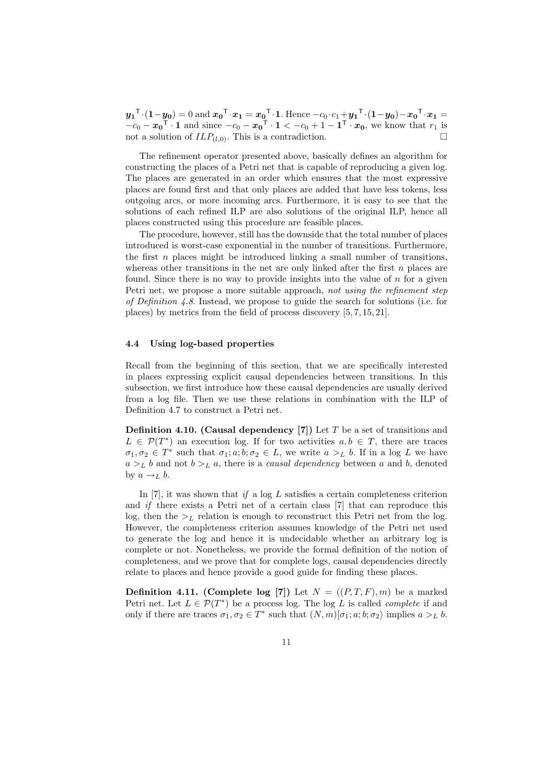${\boldsymbol{y_1}}^\top \!\cdot\! ({\boldsymbol{1}} - {\boldsymbol{y_0}}) = 0$  and  ${\boldsymbol{x_0}}^\top \!\cdot\! {\boldsymbol{x_1}} = {\boldsymbol{x_0}}^\top \!\cdot\! {\boldsymbol{1}}.$  Hence  $-c_0\cdot c_1 \!+\! {\boldsymbol{y_1}}^\top \!\cdot\! ({\boldsymbol{1}} \!-\! {\boldsymbol{y_0}}) \!-\! {\boldsymbol{x_0}}^\top \!\cdot\! {\boldsymbol{x_1}} =$  $-c_0 - x_0$ <sup>T</sup> · 1 and since  $-c_0 - x_0$ <sup>T</sup> · 1 <  $-c_0 + 1 - 1$ <sup>T</sup> ·  $x_0$ , we know that  $r_1$  is not a solution of  $ILP_{(l,0)}$ . This is a contradiction.

The refinement operator presented above, basically defines an algorithm for constructing the places of a Petri net that is capable of reproducing a given log. The places are generated in an order which ensures that the most expressive places are found first and that only places are added that have less tokens, less outgoing arcs, or more incoming arcs. Furthermore, it is easy to see that the solutions of each refined ILP are also solutions of the original ILP, hence all places constructed using this procedure are feasible places.

The procedure, however, still has the downside that the total number of places introduced is worst-case exponential in the number of transitions. Furthermore, the first  $n$  places might be introduced linking a small number of transitions, whereas other transitions in the net are only linked after the first  $n$  places are found. Since there is no way to provide insights into the value of  $n$  for a given Petri net, we propose a more suitable approach, not using the refinement step of Definition 4.8. Instead, we propose to guide the search for solutions (i.e. for places) by metrics from the field of process discovery [5, 7, 15, 21].

#### 4.4 Using log-based properties

Recall from the beginning of this section, that we are specifically interested in places expressing explicit causal dependencies between transitions. In this subsection, we first introduce how these causal dependencies are usually derived from a log file. Then we use these relations in combination with the ILP of Definition 4.7 to construct a Petri net.

**Definition 4.10. (Causal dependency [7])** Let T be a set of transitions and  $L \in \mathcal{P}(T^*)$  an execution log. If for two activities  $a, b \in T$ , there are traces  $\sigma_1, \sigma_2 \in T^*$  such that  $\sigma_1; a; b; \sigma_2 \in L$ , we write  $a >_L b$ . If in a log L we have  $a >_L b$  and not  $b >_L a$ , there is a causal dependency between a and b, denoted by  $a \rightarrow_L b$ .

In [7], it was shown that if a log  $L$  satisfies a certain completeness criterion and if there exists a Petri net of a certain class [7] that can reproduce this log, then the  $\geq_L$  relation is enough to reconstruct this Petri net from the log. However, the completeness criterion assumes knowledge of the Petri net used to generate the log and hence it is undecidable whether an arbitrary log is complete or not. Nonetheless, we provide the formal definition of the notion of completeness, and we prove that for complete logs, causal dependencies directly relate to places and hence provide a good guide for finding these places.

**Definition 4.11. (Complete log [7])** Let  $N = ((P, T, F), m)$  be a marked Petri net. Let  $L \in \mathcal{P}(T^*)$  be a process log. The log L is called *complete* if and only if there are traces  $\sigma_1, \sigma_2 \in T^*$  such that  $(N, m)[\sigma_1; a; b; \sigma_2\rangle$  implies  $a >_L b$ .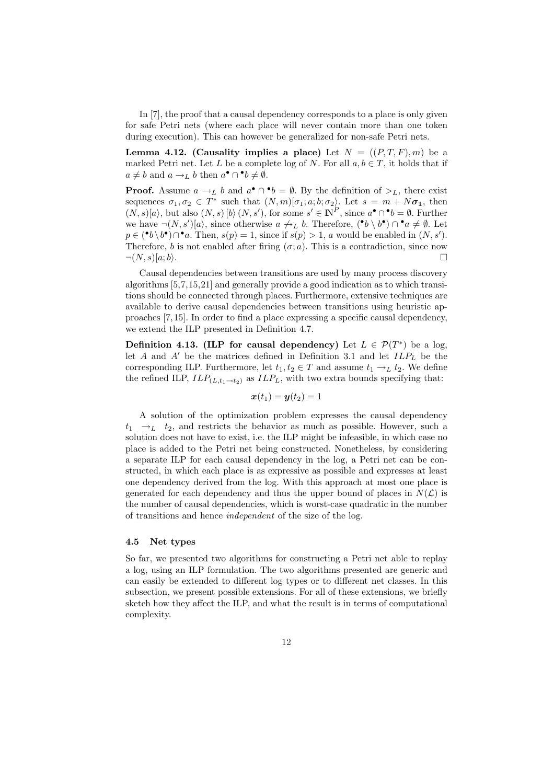In [7], the proof that a causal dependency corresponds to a place is only given for safe Petri nets (where each place will never contain more than one token during execution). This can however be generalized for non-safe Petri nets.

**Lemma 4.12.** (Causality implies a place) Let  $N = ((P, T, F), m)$  be a marked Petri net. Let L be a complete log of N. For all  $a, b \in T$ , it holds that if  $a \neq b$  and  $a \to_L b$  then  $a^{\bullet} \cap {}^{\bullet}b \neq \emptyset$ .

**Proof.** Assume  $a \to_L b$  and  $a^{\bullet} \cap {}^{\bullet}b = \emptyset$ . By the definition of  $\gt_L$ , there exist sequences  $\sigma_1, \sigma_2 \in T^*$  such that  $(N,m)[\sigma_1; a;b;\sigma_2\rangle$ . Let  $s = m + N\sigma_1$ , then  $(N, s)[a]$ , but also  $(N, s)[b]$   $(N, s')$ , for some  $s' \in \mathbb{N}^P$ , since  $a^{\bullet} \cap {}^{\bullet}b = \emptyset$ . Further we have  $\neg(N, s')[a)$ , since otherwise  $a \nightharpoonup_L b$ . Therefore,  $(\bullet \setminus b^{\bullet}) \cap \bullet a \neq \emptyset$ . Let  $p \in (\bullet\ b\ b\bullet) \cap \bullet a$ . Then,  $s(p) = 1$ , since if  $s(p) > 1$ , a would be enabled in  $(N, s')$ . Therefore, b is not enabled after firing  $(\sigma; a)$ . This is a contradiction, since now  $\neg(N, s)[a; b).$ 

Causal dependencies between transitions are used by many process discovery algorithms [5,7,15,21] and generally provide a good indication as to which transitions should be connected through places. Furthermore, extensive techniques are available to derive causal dependencies between transitions using heuristic approaches [7, 15]. In order to find a place expressing a specific causal dependency, we extend the ILP presented in Definition 4.7.

Definition 4.13. (ILP for causal dependency) Let  $L \in \mathcal{P}(T^*)$  be a log, let A and  $A'$  be the matrices defined in Definition 3.1 and let  $ILP<sub>L</sub>$  be the corresponding ILP. Furthermore, let  $t_1, t_2 \in T$  and assume  $t_1 \rightarrow_L t_2$ . We define the refined ILP,  $ILP_{(L,t_1\rightarrow t_2)}$  as  $ILP_L$ , with two extra bounds specifying that:

$$
\boldsymbol{x}(t_1)=\boldsymbol{y}(t_2)=1
$$

A solution of the optimization problem expresses the causal dependency  $t_1 \rightarrow_L t_2$ , and restricts the behavior as much as possible. However, such a solution does not have to exist, i.e. the ILP might be infeasible, in which case no place is added to the Petri net being constructed. Nonetheless, by considering a separate ILP for each causal dependency in the log, a Petri net can be constructed, in which each place is as expressive as possible and expresses at least one dependency derived from the log. With this approach at most one place is generated for each dependency and thus the upper bound of places in  $N(\mathcal{L})$  is the number of causal dependencies, which is worst-case quadratic in the number of transitions and hence independent of the size of the log.

#### 4.5 Net types

So far, we presented two algorithms for constructing a Petri net able to replay a log, using an ILP formulation. The two algorithms presented are generic and can easily be extended to different log types or to different net classes. In this subsection, we present possible extensions. For all of these extensions, we briefly sketch how they affect the ILP, and what the result is in terms of computational complexity.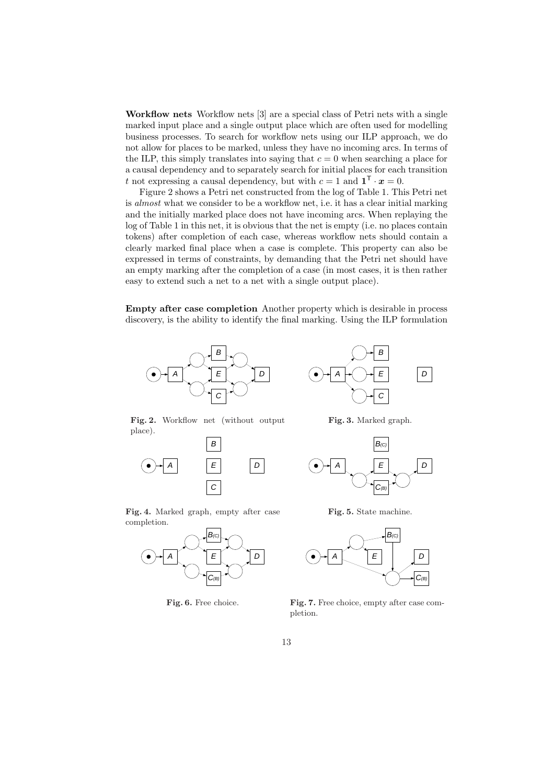Workflow nets Workflow nets [3] are a special class of Petri nets with a single marked input place and a single output place which are often used for modelling business processes. To search for workflow nets using our ILP approach, we do not allow for places to be marked, unless they have no incoming arcs. In terms of the ILP, this simply translates into saying that  $c = 0$  when searching a place for a causal dependency and to separately search for initial places for each transition t not expressing a causal dependency, but with  $c = 1$  and  $\mathbf{1}^{\mathsf{T}} \cdot \mathbf{x} = 0$ .

Figure 2 shows a Petri net constructed from the log of Table 1. This Petri net is almost what we consider to be a workflow net, i.e. it has a clear initial marking and the initially marked place does not have incoming arcs. When replaying the log of Table 1 in this net, it is obvious that the net is empty (i.e. no places contain tokens) after completion of each case, whereas workflow nets should contain a clearly marked final place when a case is complete. This property can also be expressed in terms of constraints, by demanding that the Petri net should have an empty marking after the completion of a case (in most cases, it is then rather easy to extend such a net to a net with a single output place).

Empty after case completion Another property which is desirable in process discovery, is the ability to identify the final marking. Using the ILP formulation





Fig. 2. Workflow net (without output place).



Fig. 4. Marked graph, empty after case completion.



Fig. 6. Free choice.

Fig. 3. Marked graph.



Fig. 5. State machine.



Fig. 7. Free choice, empty after case completion.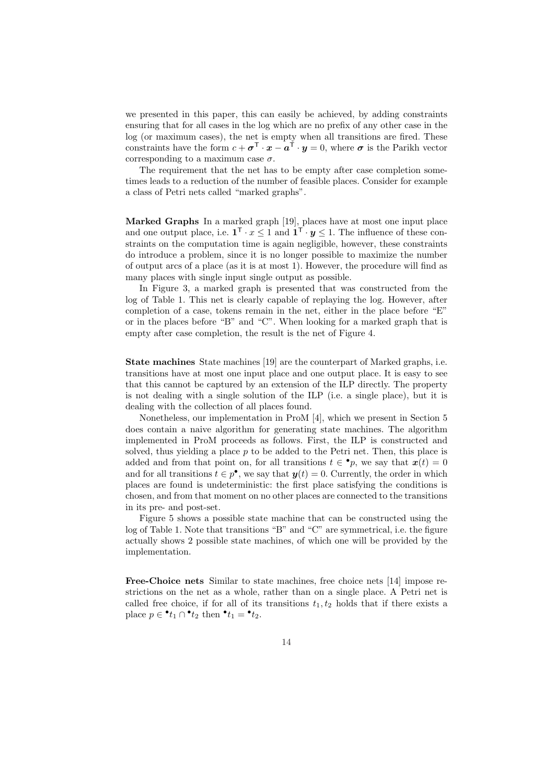we presented in this paper, this can easily be achieved, by adding constraints ensuring that for all cases in the log which are no prefix of any other case in the log (or maximum cases), the net is empty when all transitions are fired. These constraints have the form  $c + \sigma^{\mathsf{T}} \cdot x - a^{\mathsf{T}} \cdot y = 0$ , where  $\sigma$  is the Parikh vector corresponding to a maximum case  $\sigma$ .

The requirement that the net has to be empty after case completion sometimes leads to a reduction of the number of feasible places. Consider for example a class of Petri nets called "marked graphs".

Marked Graphs In a marked graph [19], places have at most one input place and one output place, i.e.  $\mathbf{1}^{\mathsf{T}} \cdot x \leq 1$  and  $\mathbf{1}^{\mathsf{T}} \cdot y \leq 1$ . The influence of these constraints on the computation time is again negligible, however, these constraints do introduce a problem, since it is no longer possible to maximize the number of output arcs of a place (as it is at most 1). However, the procedure will find as many places with single input single output as possible.

In Figure 3, a marked graph is presented that was constructed from the log of Table 1. This net is clearly capable of replaying the log. However, after completion of a case, tokens remain in the net, either in the place before "E" or in the places before "B" and "C". When looking for a marked graph that is empty after case completion, the result is the net of Figure 4.

State machines State machines [19] are the counterpart of Marked graphs, i.e. transitions have at most one input place and one output place. It is easy to see that this cannot be captured by an extension of the ILP directly. The property is not dealing with a single solution of the ILP (i.e. a single place), but it is dealing with the collection of all places found.

Nonetheless, our implementation in ProM [4], which we present in Section 5 does contain a naive algorithm for generating state machines. The algorithm implemented in ProM proceeds as follows. First, the ILP is constructed and solved, thus yielding a place  $p$  to be added to the Petri net. Then, this place is added and from that point on, for all transitions  $t \in \bullet p$ , we say that  $x(t) = 0$ and for all transitions  $t \in p^{\bullet}$ , we say that  $y(t) = 0$ . Currently, the order in which places are found is undeterministic: the first place satisfying the conditions is chosen, and from that moment on no other places are connected to the transitions in its pre- and post-set.

Figure 5 shows a possible state machine that can be constructed using the log of Table 1. Note that transitions "B" and "C" are symmetrical, i.e. the figure actually shows 2 possible state machines, of which one will be provided by the implementation.

Free-Choice nets Similar to state machines, free choice nets [14] impose restrictions on the net as a whole, rather than on a single place. A Petri net is called free choice, if for all of its transitions  $t_1, t_2$  holds that if there exists a place  $p \in \mathbf{t}_1 \cap \mathbf{t}_2$  then  $\mathbf{t}_1 = \mathbf{t}_2$ .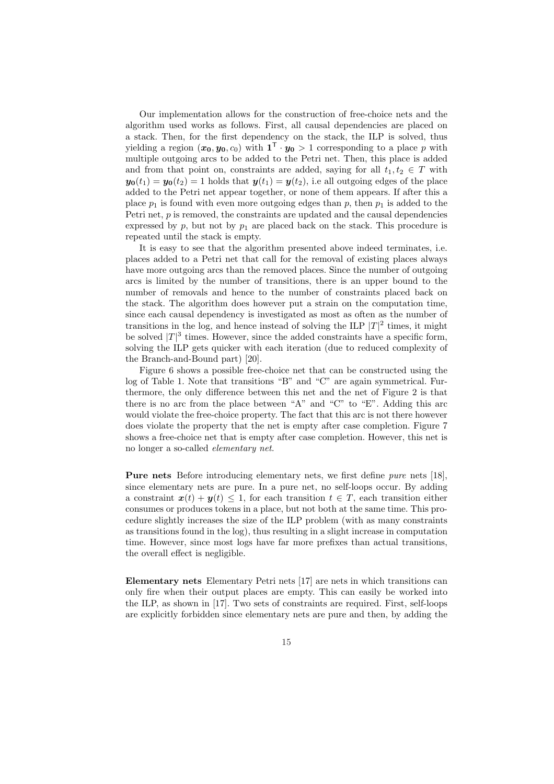Our implementation allows for the construction of free-choice nets and the algorithm used works as follows. First, all causal dependencies are placed on a stack. Then, for the first dependency on the stack, the ILP is solved, thus yielding a region  $(x_0, y_0, c_0)$  with  $1^{\mathsf{T}} \cdot y_0 > 1$  corresponding to a place p with multiple outgoing arcs to be added to the Petri net. Then, this place is added and from that point on, constraints are added, saying for all  $t_1, t_2 \in T$  with  $y_0(t_1) = y_0(t_2) = 1$  holds that  $y(t_1) = y(t_2)$ , i.e all outgoing edges of the place added to the Petri net appear together, or none of them appears. If after this a place  $p_1$  is found with even more outgoing edges than p, then  $p_1$  is added to the Petri net,  $p$  is removed, the constraints are updated and the causal dependencies expressed by  $p$ , but not by  $p_1$  are placed back on the stack. This procedure is repeated until the stack is empty.

It is easy to see that the algorithm presented above indeed terminates, i.e. places added to a Petri net that call for the removal of existing places always have more outgoing arcs than the removed places. Since the number of outgoing arcs is limited by the number of transitions, there is an upper bound to the number of removals and hence to the number of constraints placed back on the stack. The algorithm does however put a strain on the computation time, since each causal dependency is investigated as most as often as the number of transitions in the log, and hence instead of solving the ILP  $|T|^2$  times, it might be solved  $|T|^3$  times. However, since the added constraints have a specific form, solving the ILP gets quicker with each iteration (due to reduced complexity of the Branch-and-Bound part) [20].

Figure 6 shows a possible free-choice net that can be constructed using the log of Table 1. Note that transitions "B" and "C" are again symmetrical. Furthermore, the only difference between this net and the net of Figure 2 is that there is no arc from the place between "A" and "C" to "E". Adding this arc would violate the free-choice property. The fact that this arc is not there however does violate the property that the net is empty after case completion. Figure 7 shows a free-choice net that is empty after case completion. However, this net is no longer a so-called elementary net.

Pure nets Before introducing elementary nets, we first define pure nets [18], since elementary nets are pure. In a pure net, no self-loops occur. By adding a constraint  $x(t) + y(t) \leq 1$ , for each transition  $t \in T$ , each transition either consumes or produces tokens in a place, but not both at the same time. This procedure slightly increases the size of the ILP problem (with as many constraints as transitions found in the log), thus resulting in a slight increase in computation time. However, since most logs have far more prefixes than actual transitions, the overall effect is negligible.

Elementary nets Elementary Petri nets [17] are nets in which transitions can only fire when their output places are empty. This can easily be worked into the ILP, as shown in [17]. Two sets of constraints are required. First, self-loops are explicitly forbidden since elementary nets are pure and then, by adding the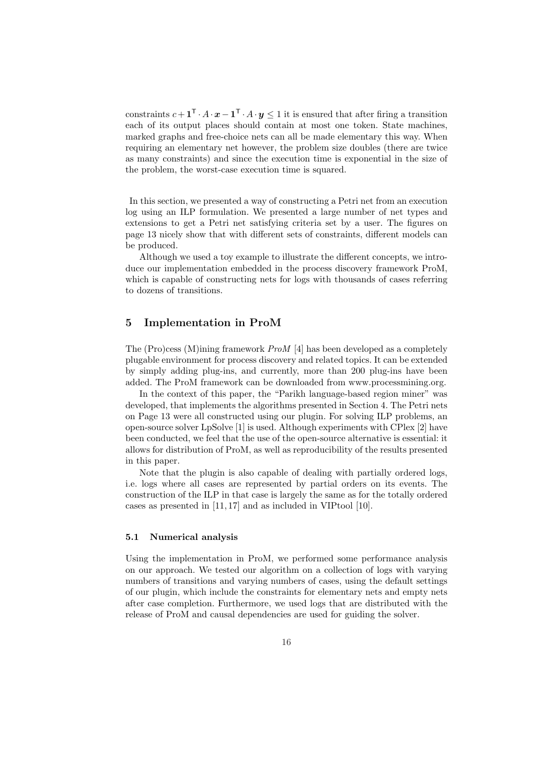constraints  $c + \mathbf{1}^{\mathsf{T}} \cdot A \cdot \mathbf{x} - \mathbf{1}^{\mathsf{T}} \cdot A \cdot \mathbf{y} \leq 1$  it is ensured that after firing a transition each of its output places should contain at most one token. State machines, marked graphs and free-choice nets can all be made elementary this way. When requiring an elementary net however, the problem size doubles (there are twice as many constraints) and since the execution time is exponential in the size of the problem, the worst-case execution time is squared.

In this section, we presented a way of constructing a Petri net from an execution log using an ILP formulation. We presented a large number of net types and extensions to get a Petri net satisfying criteria set by a user. The figures on page 13 nicely show that with different sets of constraints, different models can be produced.

Although we used a toy example to illustrate the different concepts, we introduce our implementation embedded in the process discovery framework ProM, which is capable of constructing nets for logs with thousands of cases referring to dozens of transitions.

#### 5 Implementation in ProM

The  $(Pro)$ cess  $(M)$ ining framework *ProM* [4] has been developed as a completely plugable environment for process discovery and related topics. It can be extended by simply adding plug-ins, and currently, more than 200 plug-ins have been added. The ProM framework can be downloaded from www.processmining.org.

In the context of this paper, the "Parikh language-based region miner" was developed, that implements the algorithms presented in Section 4. The Petri nets on Page 13 were all constructed using our plugin. For solving ILP problems, an open-source solver LpSolve [1] is used. Although experiments with CPlex [2] have been conducted, we feel that the use of the open-source alternative is essential: it allows for distribution of ProM, as well as reproducibility of the results presented in this paper.

Note that the plugin is also capable of dealing with partially ordered logs, i.e. logs where all cases are represented by partial orders on its events. The construction of the ILP in that case is largely the same as for the totally ordered cases as presented in [11, 17] and as included in VIPtool [10].

#### 5.1 Numerical analysis

Using the implementation in ProM, we performed some performance analysis on our approach. We tested our algorithm on a collection of logs with varying numbers of transitions and varying numbers of cases, using the default settings of our plugin, which include the constraints for elementary nets and empty nets after case completion. Furthermore, we used logs that are distributed with the release of ProM and causal dependencies are used for guiding the solver.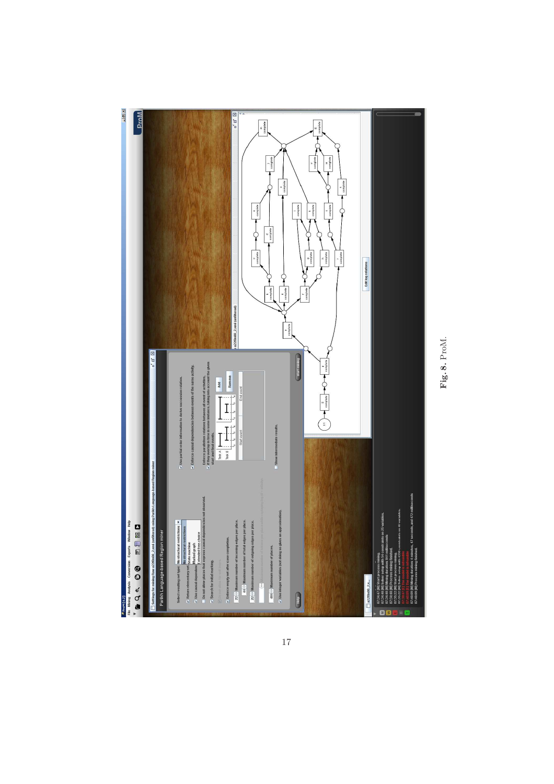

Fig. 8. ProM. Fig. 8. ProM.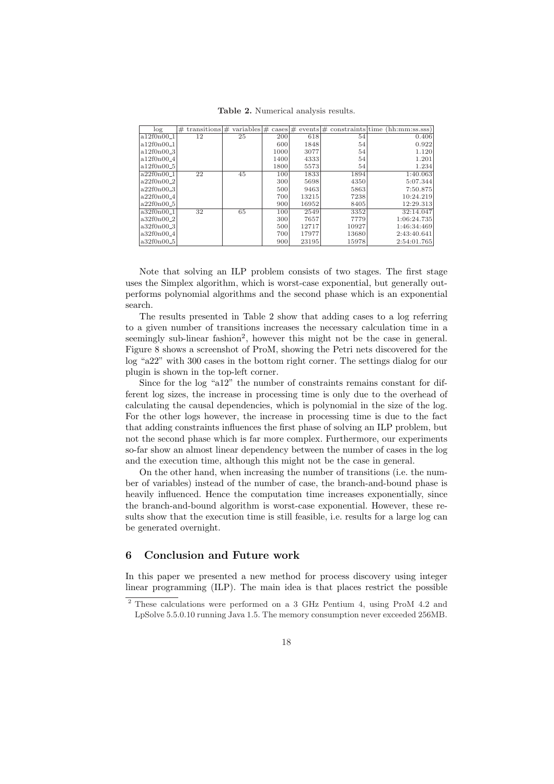Table 2. Numerical analysis results.

| log          | #  |    |      |       |       | transitions $\#$ variables $\#$ cases $\#$ events $\#$ constraints time (hh:mm:ss.sss) |
|--------------|----|----|------|-------|-------|----------------------------------------------------------------------------------------|
| $a12f0n00_1$ | 12 | 25 | 200  | 618   | 54    | 0.406                                                                                  |
| $a12f0n00_1$ |    |    | 600  | 1848  | 54    | 0.922                                                                                  |
| a12f0n00.3   |    |    | 1000 | 3077  | 54    | 1.120                                                                                  |
| a12f0n00.4   |    |    | 1400 | 4333  | 54    | 1.201                                                                                  |
| a12f0n00.5   |    |    | 1800 | 5573  | 54    | 1.234                                                                                  |
| $a22f0n00-1$ | 22 | 45 | 100  | 1833  | 1894  | 1:40.063                                                                               |
| $a22f0n00-2$ |    |    | 300  | 5698  | 4350  | 5:07.344                                                                               |
| a22f0n00.3   |    |    | 500  | 9463  | 5863  | 7:50.875                                                                               |
| a22f0n00.4   |    |    | 700  | 13215 | 7238  | 10:24.219                                                                              |
| $a22f0n00-5$ |    |    | 900  | 16952 | 8405  | 12:29.313                                                                              |
| $a32f0n00_1$ | 32 | 65 | 100  | 2549  | 3352  | 32:14.047                                                                              |
| $a32f0n00_2$ |    |    | 300  | 7657  | 7779  | 1:06:24.735                                                                            |
| a32f0n00.3   |    |    | 500  | 12717 | 10927 | 1:46:34:469                                                                            |
| a32f0n00.4   |    |    | 700  | 17977 | 13680 | 2:43:40.641                                                                            |
| a32f0n00.5   |    |    | 900  | 23195 | 15978 | 2:54:01.765                                                                            |

Note that solving an ILP problem consists of two stages. The first stage uses the Simplex algorithm, which is worst-case exponential, but generally outperforms polynomial algorithms and the second phase which is an exponential search.

The results presented in Table 2 show that adding cases to a log referring to a given number of transitions increases the necessary calculation time in a seemingly sub-linear fashion<sup>2</sup>, however this might not be the case in general. Figure 8 shows a screenshot of ProM, showing the Petri nets discovered for the log "a22" with 300 cases in the bottom right corner. The settings dialog for our plugin is shown in the top-left corner.

Since for the log "a12" the number of constraints remains constant for different log sizes, the increase in processing time is only due to the overhead of calculating the causal dependencies, which is polynomial in the size of the log. For the other logs however, the increase in processing time is due to the fact that adding constraints influences the first phase of solving an ILP problem, but not the second phase which is far more complex. Furthermore, our experiments so-far show an almost linear dependency between the number of cases in the log and the execution time, although this might not be the case in general.

On the other hand, when increasing the number of transitions (i.e. the number of variables) instead of the number of case, the branch-and-bound phase is heavily influenced. Hence the computation time increases exponentially, since the branch-and-bound algorithm is worst-case exponential. However, these results show that the execution time is still feasible, i.e. results for a large log can be generated overnight.

#### 6 Conclusion and Future work

In this paper we presented a new method for process discovery using integer linear programming (ILP). The main idea is that places restrict the possible

<sup>2</sup> These calculations were performed on a 3 GHz Pentium 4, using ProM 4.2 and LpSolve 5.5.0.10 running Java 1.5. The memory consumption never exceeded 256MB.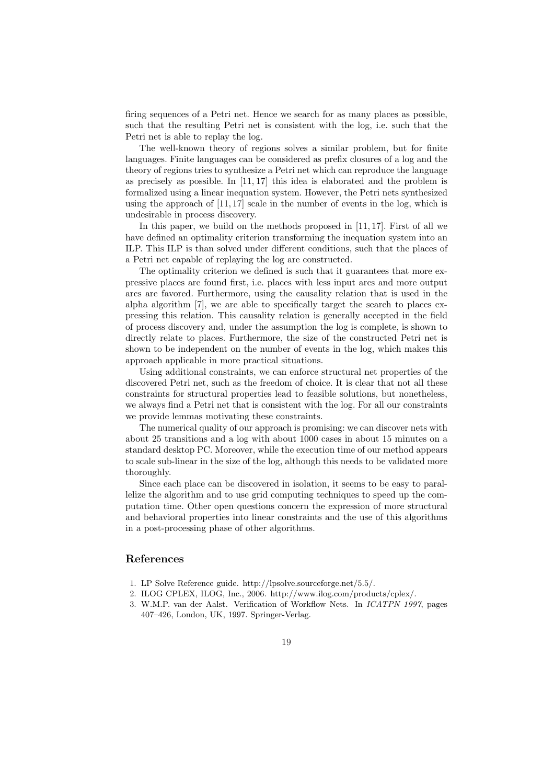firing sequences of a Petri net. Hence we search for as many places as possible, such that the resulting Petri net is consistent with the log, i.e. such that the Petri net is able to replay the log.

The well-known theory of regions solves a similar problem, but for finite languages. Finite languages can be considered as prefix closures of a log and the theory of regions tries to synthesize a Petri net which can reproduce the language as precisely as possible. In [11, 17] this idea is elaborated and the problem is formalized using a linear inequation system. However, the Petri nets synthesized using the approach of  $[11, 17]$  scale in the number of events in the log, which is undesirable in process discovery.

In this paper, we build on the methods proposed in [11, 17]. First of all we have defined an optimality criterion transforming the inequation system into an ILP. This ILP is than solved under different conditions, such that the places of a Petri net capable of replaying the log are constructed.

The optimality criterion we defined is such that it guarantees that more expressive places are found first, i.e. places with less input arcs and more output arcs are favored. Furthermore, using the causality relation that is used in the alpha algorithm [7], we are able to specifically target the search to places expressing this relation. This causality relation is generally accepted in the field of process discovery and, under the assumption the log is complete, is shown to directly relate to places. Furthermore, the size of the constructed Petri net is shown to be independent on the number of events in the log, which makes this approach applicable in more practical situations.

Using additional constraints, we can enforce structural net properties of the discovered Petri net, such as the freedom of choice. It is clear that not all these constraints for structural properties lead to feasible solutions, but nonetheless, we always find a Petri net that is consistent with the log. For all our constraints we provide lemmas motivating these constraints.

The numerical quality of our approach is promising: we can discover nets with about 25 transitions and a log with about 1000 cases in about 15 minutes on a standard desktop PC. Moreover, while the execution time of our method appears to scale sub-linear in the size of the log, although this needs to be validated more thoroughly.

Since each place can be discovered in isolation, it seems to be easy to parallelize the algorithm and to use grid computing techniques to speed up the computation time. Other open questions concern the expression of more structural and behavioral properties into linear constraints and the use of this algorithms in a post-processing phase of other algorithms.

#### References

- 1. LP Solve Reference guide. http://lpsolve.sourceforge.net/5.5/.
- 2. ILOG CPLEX, ILOG, Inc., 2006. http://www.ilog.com/products/cplex/.
- 3. W.M.P. van der Aalst. Verification of Workflow Nets. In ICATPN 1997, pages 407–426, London, UK, 1997. Springer-Verlag.